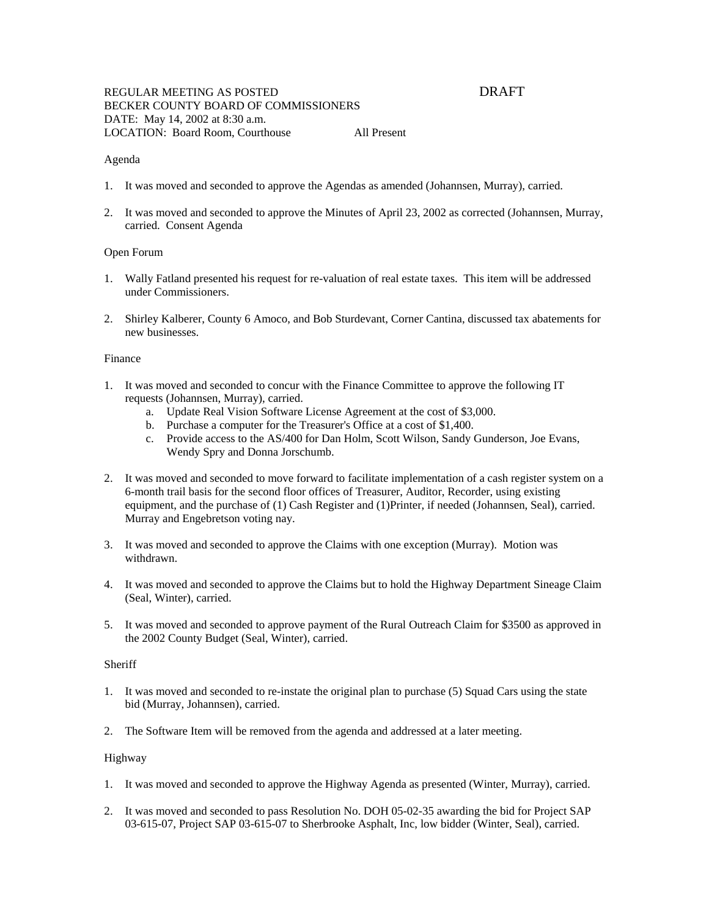## Agenda

- 1. It was moved and seconded to approve the Agendas as amended (Johannsen, Murray), carried.
- 2. It was moved and seconded to approve the Minutes of April 23, 2002 as corrected (Johannsen, Murray, carried. Consent Agenda

## Open Forum

- 1. Wally Fatland presented his request for re-valuation of real estate taxes. This item will be addressed under Commissioners.
- 2. Shirley Kalberer, County 6 Amoco, and Bob Sturdevant, Corner Cantina, discussed tax abatements for new businesses.

## Finance

- 1. It was moved and seconded to concur with the Finance Committee to approve the following IT requests (Johannsen, Murray), carried.
	- a. Update Real Vision Software License Agreement at the cost of \$3,000.
	- b. Purchase a computer for the Treasurer's Office at a cost of \$1,400.
	- c. Provide access to the AS/400 for Dan Holm, Scott Wilson, Sandy Gunderson, Joe Evans, Wendy Spry and Donna Jorschumb.
- 2. It was moved and seconded to move forward to facilitate implementation of a cash register system on a 6-month trail basis for the second floor offices of Treasurer, Auditor, Recorder, using existing equipment, and the purchase of (1) Cash Register and (1)Printer, if needed (Johannsen, Seal), carried. Murray and Engebretson voting nay.
- 3. It was moved and seconded to approve the Claims with one exception (Murray). Motion was withdrawn.
- 4. It was moved and seconded to approve the Claims but to hold the Highway Department Sineage Claim (Seal, Winter), carried.
- 5. It was moved and seconded to approve payment of the Rural Outreach Claim for \$3500 as approved in the 2002 County Budget (Seal, Winter), carried.

## **Sheriff**

- 1. It was moved and seconded to re-instate the original plan to purchase (5) Squad Cars using the state bid (Murray, Johannsen), carried.
- 2. The Software Item will be removed from the agenda and addressed at a later meeting.

## Highway

- 1. It was moved and seconded to approve the Highway Agenda as presented (Winter, Murray), carried.
- 2. It was moved and seconded to pass Resolution No. DOH 05-02-35 awarding the bid for Project SAP 03-615-07, Project SAP 03-615-07 to Sherbrooke Asphalt, Inc, low bidder (Winter, Seal), carried.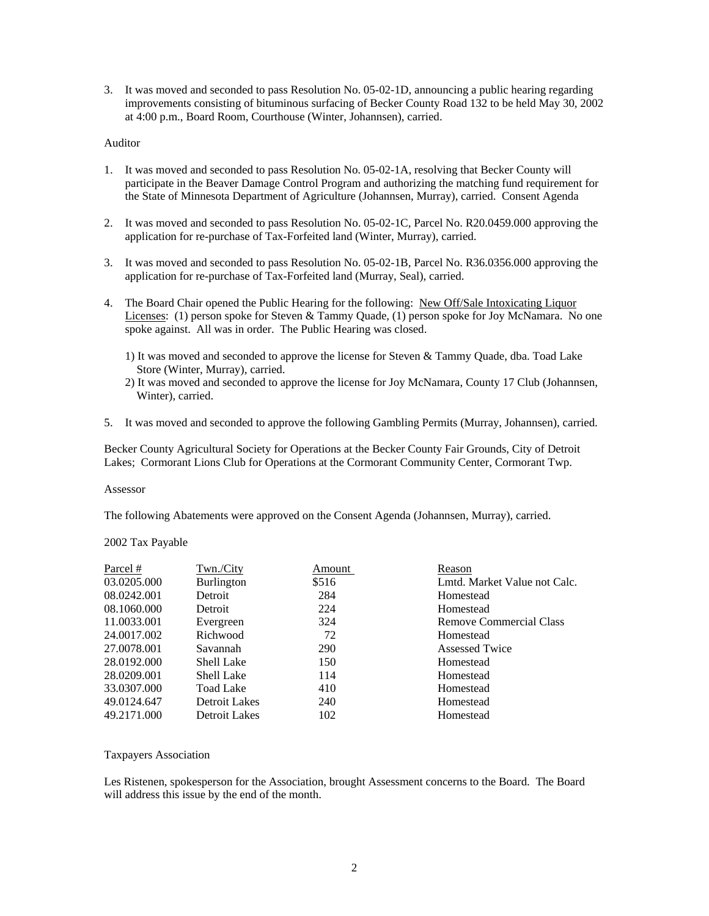3. It was moved and seconded to pass Resolution No. 05-02-1D, announcing a public hearing regarding improvements consisting of bituminous surfacing of Becker County Road 132 to be held May 30, 2002 at 4:00 p.m., Board Room, Courthouse (Winter, Johannsen), carried.

## Auditor

- 1. It was moved and seconded to pass Resolution No. 05-02-1A, resolving that Becker County will participate in the Beaver Damage Control Program and authorizing the matching fund requirement for the State of Minnesota Department of Agriculture (Johannsen, Murray), carried. Consent Agenda
- 2. It was moved and seconded to pass Resolution No. 05-02-1C, Parcel No. R20.0459.000 approving the application for re-purchase of Tax-Forfeited land (Winter, Murray), carried.
- 3. It was moved and seconded to pass Resolution No. 05-02-1B, Parcel No. R36.0356.000 approving the application for re-purchase of Tax-Forfeited land (Murray, Seal), carried.
- 4. The Board Chair opened the Public Hearing for the following: New Off/Sale Intoxicating Liquor Licenses: (1) person spoke for Steven & Tammy Quade, (1) person spoke for Joy McNamara. No one spoke against. All was in order. The Public Hearing was closed.
	- 1) It was moved and seconded to approve the license for Steven & Tammy Quade, dba. Toad Lake Store (Winter, Murray), carried.
	- 2) It was moved and seconded to approve the license for Joy McNamara, County 17 Club (Johannsen, Winter), carried.
- 5. It was moved and seconded to approve the following Gambling Permits (Murray, Johannsen), carried.

Becker County Agricultural Society for Operations at the Becker County Fair Grounds, City of Detroit Lakes; Cormorant Lions Club for Operations at the Cormorant Community Center, Cormorant Twp.

#### Assessor

The following Abatements were approved on the Consent Agenda (Johannsen, Murray), carried.

#### 2002 Tax Payable

| Parcel #    | Twn/City          | Amount     | Reason                       |
|-------------|-------------------|------------|------------------------------|
| 03.0205.000 | <b>Burlington</b> | \$516      | Lmtd. Market Value not Calc. |
| 08.0242.001 | Detroit           | 284        | Homestead                    |
| 08.1060.000 | Detroit           | 224        | Homestead                    |
| 11.0033.001 | Evergreen         | 324        | Remove Commercial Class      |
| 24.0017.002 | Richwood          | 72         | Homestead                    |
| 27.0078.001 | Savannah          | <b>290</b> | Assessed Twice               |
| 28.0192.000 | <b>Shell Lake</b> | 150        | Homestead                    |
| 28.0209.001 | <b>Shell Lake</b> | 114        | Homestead                    |
| 33.0307.000 | Toad Lake         | 410        | Homestead                    |
| 49.0124.647 | Detroit Lakes     | 240        | Homestead                    |
| 49.2171.000 | Detroit Lakes     | 102        | Homestead                    |

#### Taxpayers Association

Les Ristenen, spokesperson for the Association, brought Assessment concerns to the Board. The Board will address this issue by the end of the month.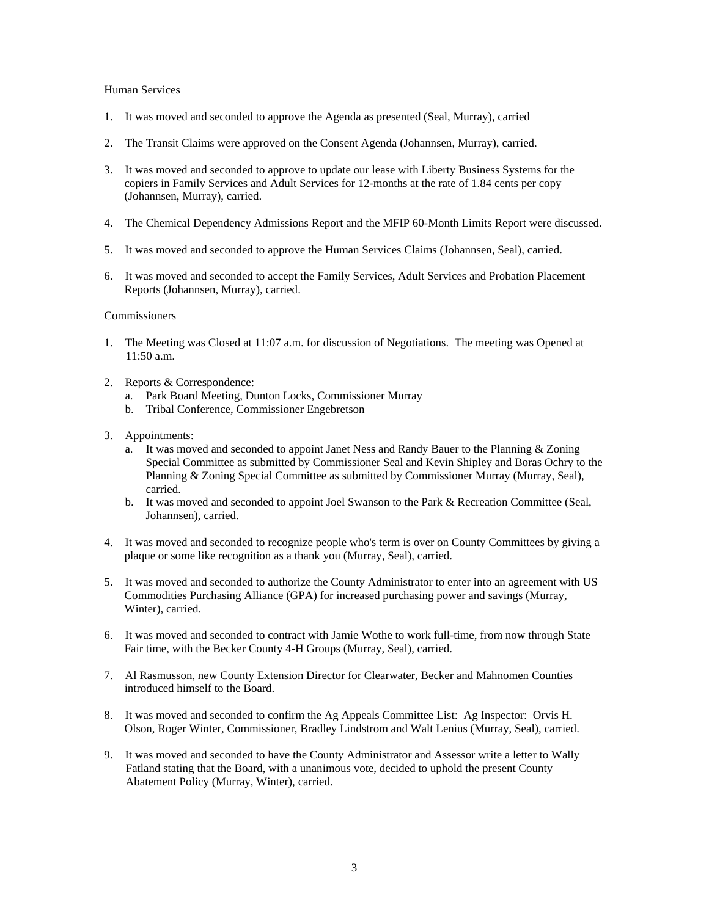# Human Services

- 1. It was moved and seconded to approve the Agenda as presented (Seal, Murray), carried
- 2. The Transit Claims were approved on the Consent Agenda (Johannsen, Murray), carried.
- 3. It was moved and seconded to approve to update our lease with Liberty Business Systems for the copiers in Family Services and Adult Services for 12-months at the rate of 1.84 cents per copy (Johannsen, Murray), carried.
- 4. The Chemical Dependency Admissions Report and the MFIP 60-Month Limits Report were discussed.
- 5. It was moved and seconded to approve the Human Services Claims (Johannsen, Seal), carried.
- 6. It was moved and seconded to accept the Family Services, Adult Services and Probation Placement Reports (Johannsen, Murray), carried.

# **Commissioners**

- 1. The Meeting was Closed at 11:07 a.m. for discussion of Negotiations. The meeting was Opened at 11:50 a.m.
- 2. Reports & Correspondence:
	- a. Park Board Meeting, Dunton Locks, Commissioner Murray
	- b. Tribal Conference, Commissioner Engebretson
- 3. Appointments:
	- a. It was moved and seconded to appoint Janet Ness and Randy Bauer to the Planning & Zoning Special Committee as submitted by Commissioner Seal and Kevin Shipley and Boras Ochry to the Planning & Zoning Special Committee as submitted by Commissioner Murray (Murray, Seal), carried.
	- b. It was moved and seconded to appoint Joel Swanson to the Park & Recreation Committee (Seal, Johannsen), carried.
- 4. It was moved and seconded to recognize people who's term is over on County Committees by giving a plaque or some like recognition as a thank you (Murray, Seal), carried.
- 5. It was moved and seconded to authorize the County Administrator to enter into an agreement with US Commodities Purchasing Alliance (GPA) for increased purchasing power and savings (Murray, Winter), carried.
- 6. It was moved and seconded to contract with Jamie Wothe to work full-time, from now through State Fair time, with the Becker County 4-H Groups (Murray, Seal), carried.
- 7. Al Rasmusson, new County Extension Director for Clearwater, Becker and Mahnomen Counties introduced himself to the Board.
- 8. It was moved and seconded to confirm the Ag Appeals Committee List: Ag Inspector: Orvis H. Olson, Roger Winter, Commissioner, Bradley Lindstrom and Walt Lenius (Murray, Seal), carried.
- 9. It was moved and seconded to have the County Administrator and Assessor write a letter to Wally Fatland stating that the Board, with a unanimous vote, decided to uphold the present County Abatement Policy (Murray, Winter), carried.